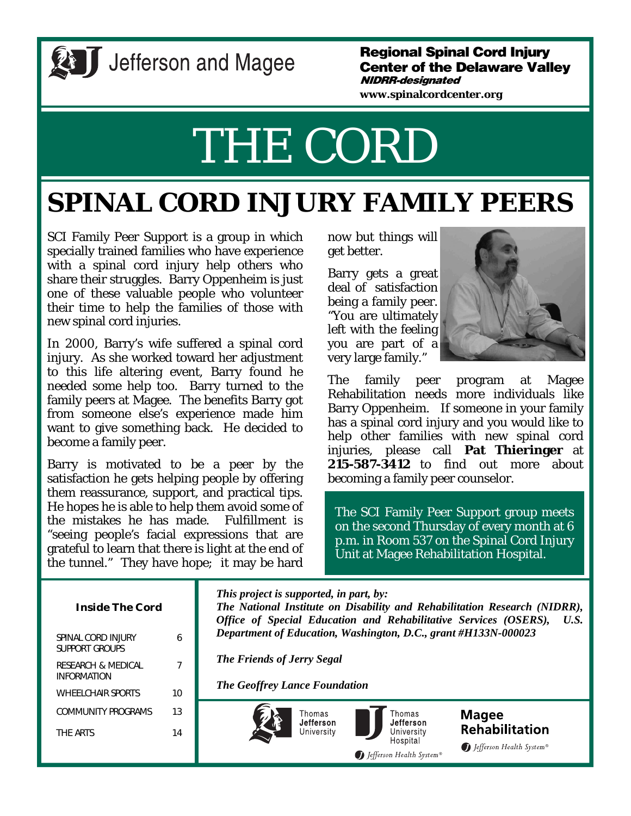

# **All Jefferson and Magee**

#### **Regional Spinal Cord Injury Center of the Delaware Valley NIDRR-designated**

**www.spinalcordcenter.org** 

# THE CORD

# **SPINAL CORD INJURY FAMILY PEERS**

SCI Family Peer Support is a group in which specially trained families who have experience with a spinal cord injury help others who share their struggles. Barry Oppenheim is just one of these valuable people who volunteer their time to help the families of those with new spinal cord injuries.

In 2000, Barry's wife suffered a spinal cord injury. As she worked toward her adjustment to this life altering event, Barry found he needed some help too. Barry turned to the family peers at Magee. The benefits Barry got from someone else's experience made him want to give something back. He decided to become a family peer.

Barry is motivated to be a peer by the satisfaction he gets helping people by offering them reassurance, support, and practical tips. He hopes he is able to help them avoid some of the mistakes he has made. Fulfillment is "seeing people's facial expressions that are grateful to learn that there is light at the end of the tunnel." They have hope; it may be hard

now but things will get better.

Barry gets a great deal of satisfaction being a family peer. "You are ultimately left with the feeling you are part of a very large family."



The family peer program at Magee Rehabilitation needs more individuals like Barry Oppenheim. If someone in your family has a spinal cord injury and you would like to help other families with new spinal cord injuries, please call **Pat Thieringer** at **215-587-3412** to find out more about becoming a family peer counselor.

The SCI Family Peer Support group meets on the second Thursday of every month at 6 p.m. in Room 537 on the Spinal Cord Injury Unit at Magee Rehabilitation Hospital.

| <b>Inside The Cord</b>                                     |                | This project is supported, in part, by:<br>The National Institute on Disability and Rehabilitation Research (NIDRR),<br>Office of Special Education and Rehabilitative Services (OSERS),<br>U.S. |  |
|------------------------------------------------------------|----------------|--------------------------------------------------------------------------------------------------------------------------------------------------------------------------------------------------|--|
| SPINAL CORD INJURY<br><b>SUPPORT GROUPS</b>                | 6              | Department of Education, Washington, D.C., grant #H133N-000023<br><b>The Friends of Jerry Segal</b><br><b>The Geoffrey Lance Foundation</b>                                                      |  |
| <b>RESEARCH &amp; MEDICAL</b><br><i><b>INFORMATION</b></i> | $\overline{ }$ |                                                                                                                                                                                                  |  |
| <b>WHEELCHAIR SPORTS</b>                                   | 10             |                                                                                                                                                                                                  |  |
| COMMUNITY PROGRAMS                                         | 13             | Thomas<br>Thomas<br><b>Magee</b><br>Jefferson<br>Jefferson                                                                                                                                       |  |
| THF ARTS                                                   | 14             | <b>Rehabilitation</b><br>University<br>University<br>Hospital<br>D Jefferson Health System®<br>Defferson Health System®                                                                          |  |
|                                                            |                |                                                                                                                                                                                                  |  |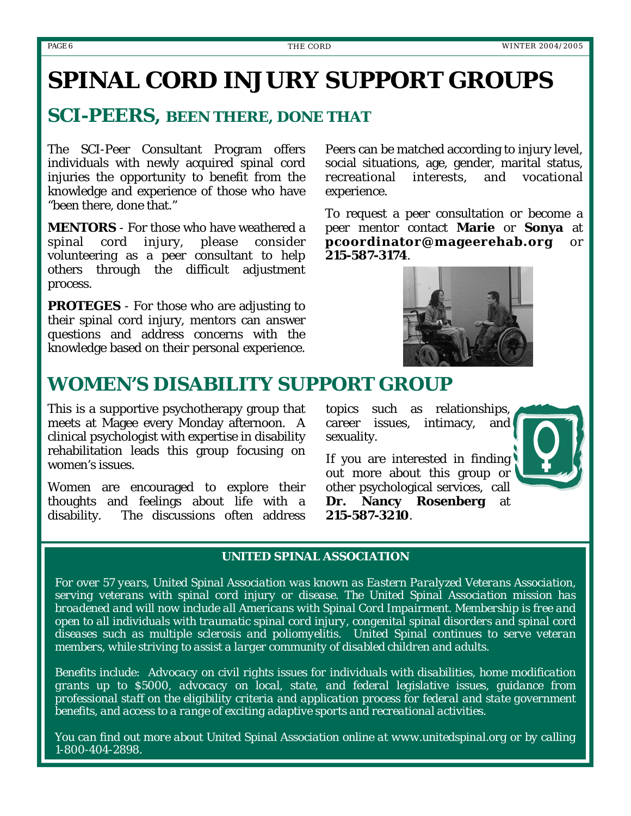# **SPINAL CORD INJURY SUPPORT GROUPS**

#### *SCI-PEERS, BEEN THERE, DONE THAT*

The SCI-Peer Consultant Program offers individuals with newly acquired spinal cord injuries the opportunity to benefit from the knowledge and experience of those who have "been there, done that."

**MENTORS** - For those who have weathered a spinal cord injury, please consider volunteering as a peer consultant to help others through the difficult adjustment process.

**PROTEGES** - For those who are adjusting to their spinal cord injury, mentors can answer questions and address concerns with the knowledge based on their personal experience.

Peers can be matched according to injury level, social situations, age, gender, marital status, recreational interests, and vocational experience.

To request a peer consultation or become a peer mentor contact **Marie** or **Sonya** at **pcoordinator@mageerehab.org** or **215-587-3174**.



#### *WOMEN'S DISABILITY SUPPORT GROUP*

This is a supportive psychotherapy group that meets at Magee every Monday afternoon. A clinical psychologist with expertise in disability rehabilitation leads this group focusing on women's issues.

Women are encouraged to explore their thoughts and feelings about life with a disability. The discussions often address

topics such as relationships, career issues, intimacy, and sexuality.



If you are interested in finding out more about this group or other psychological services, call **Dr. Nancy Rosenberg** at **215-587-3210**.

#### *UNITED SPINAL ASSOCIATION*

*For over 57 years, United Spinal Association was known as Eastern Paralyzed Veterans Association, serving veterans with spinal cord injury or disease. The United Spinal Association mission has broadened and will now include all Americans with Spinal Cord Impairment. Membership is free and open to all individuals with traumatic spinal cord injury, congenital spinal disorders and spinal cord diseases such as multiple sclerosis and poliomyelitis. United Spinal continues to serve veteran members, while striving to assist a larger community of disabled children and adults.* 

*Benefits include: Advocacy on civil rights issues for individuals with disabilities, home modification grants up to \$5000, advocacy on local, state, and federal legislative issues, guidance from professional staff on the eligibility criteria and application process for federal and state government benefits, and access to a range of exciting adaptive sports and recreational activities.* 

*You can find out more about United Spinal Association online at www.unitedspinal.org or by calling 1-800-404-2898.*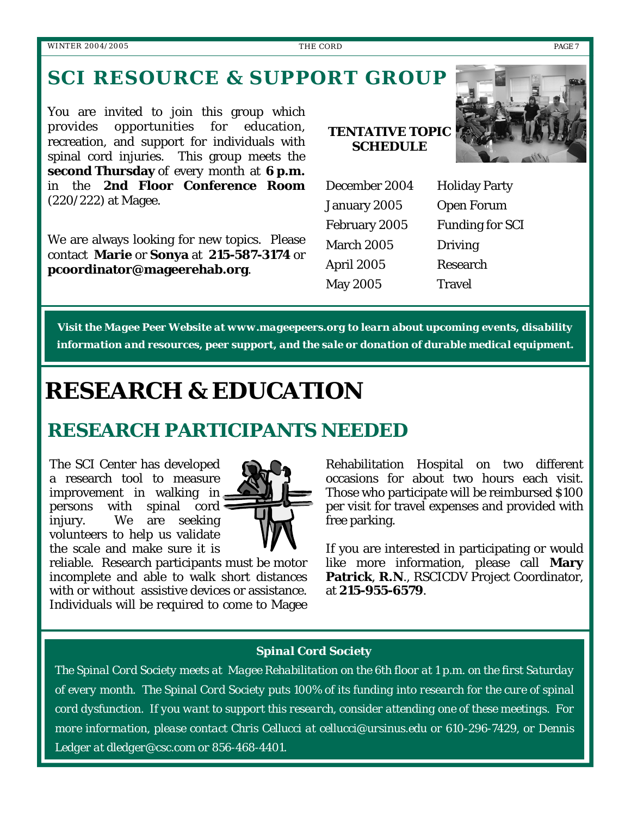## *SCI RESOURCE & SUPPORT GROUP*

You are invited to join this group which provides opportunities for education, recreation, and support for individuals with spinal cord injuries. This group meets the **second Thursday** of every month at **6 p.m.**  in the **2nd Floor Conference Room** (220/222) at Magee.

We are always looking for new topics. Please contact **Marie** or **Sonya** at **215-587-3174** or **pcoordinator@mageerehab.org**.

#### **TENTATIVE TOPIC SCHEDULE**



| December 2004     | <b>Holiday Party</b> |
|-------------------|----------------------|
| January 2005      | Open Forum           |
| February 2005     | Funding for SCI      |
| March 2005        | Driving              |
| <b>April 2005</b> | Research             |
| May 2005          | Travel               |
|                   |                      |

*Visit the Magee Peer Website at www.mageepeers.org to learn about upcoming events, disability information and resources, peer support, and the sale or donation of durable medical equipment.* 

# **RESEARCH & EDUCATION**

# *RESEARCH PARTICIPANTS NEEDED*

The SCI Center has developed a research tool to measure improvement in walking in persons with spinal cord injury. We are seeking volunteers to help us validate the scale and make sure it is



reliable. Research participants must be motor incomplete and able to walk short distances with or without assistive devices or assistance. Individuals will be required to come to Magee

Rehabilitation Hospital on two different occasions for about two hours each visit. Those who participate will be reimbursed \$100 per visit for travel expenses and provided with free parking.

If you are interested in participating or would like more information, please call **Mary Patrick**, **R.N**., RSCICDV Project Coordinator, at **215-955-6579**.

#### *Spinal Cord Society*

*The Spinal Cord Society meets at Magee Rehabilitation on the 6th floor at 1 p.m. on the first Saturday of every month. The Spinal Cord Society puts 100% of its funding into research for the cure of spinal cord dysfunction. If you want to support this research, consider attending one of these meetings. For more information, please contact Chris Cellucci at cellucci@ursinus.edu or 610-296-7429, or Dennis Ledger at dledger@csc.com or 856-468-4401.*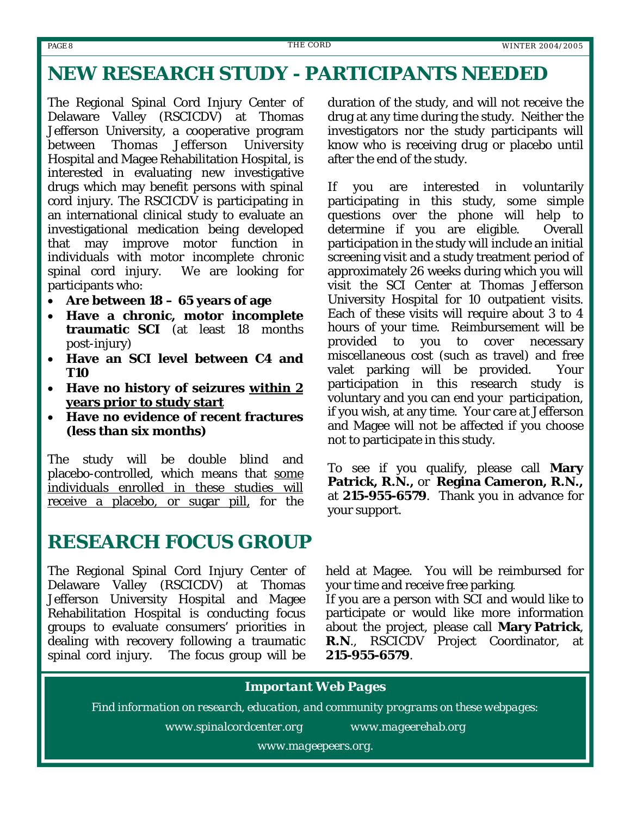#### *NEW RESEARCH STUDY - PARTICIPANTS NEEDED*

The Regional Spinal Cord Injury Center of Delaware Valley (RSCICDV) at Thomas Jefferson University, a cooperative program between Thomas Jefferson University Hospital and Magee Rehabilitation Hospital, is interested in evaluating new investigative drugs which may benefit persons with spinal cord injury. The RSCICDV is participating in an international clinical study to evaluate an investigational medication being developed that may improve motor function in individuals with motor incomplete chronic spinal cord injury. We are looking for participants who:

- **Are between 18 65 years of age**
- **Have a chronic, motor incomplete traumatic SCI** (at least 18 months post-injury)
- **Have an SCI level between C4 and T10**
- **Have no history of seizures within 2 years prior to study start**
- **Have no evidence of recent fractures (less than six months)**

The study will be double blind and placebo-controlled, which means that some individuals enrolled in these studies will receive a placebo, or sugar pill, for the

### *RESEARCH FOCUS GROUP*

The Regional Spinal Cord Injury Center of Delaware Valley (RSCICDV) at Thomas Jefferson University Hospital and Magee Rehabilitation Hospital is conducting focus groups to evaluate consumers' priorities in dealing with recovery following a traumatic spinal cord injury. The focus group will be

duration of the study, and will not receive the drug at any time during the study. Neither the investigators nor the study participants will know who is receiving drug or placebo until after the end of the study.

If you are interested in voluntarily participating in this study, some simple questions over the phone will help to determine if you are eligible. Overall participation in the study will include an initial screening visit and a study treatment period of approximately 26 weeks during which you will visit the SCI Center at Thomas Jefferson University Hospital for 10 outpatient visits. Each of these visits will require about 3 to 4 hours of your time. Reimbursement will be provided to you to cover necessary miscellaneous cost (such as travel) and free valet parking will be provided. Your participation in this research study is voluntary and you can end your participation, if you wish, at any time. Your care at Jefferson and Magee will not be affected if you choose not to participate in this study.

To see if you qualify, please call **Mary Patrick, R.N.,** or **Regina Cameron, R.N.,** at **215-955-6579**. Thank you in advance for your support.

held at Magee. You will be reimbursed for your time and receive free parking.

If you are a person with SCI and would like to participate or would like more information about the project, please call **Mary Patrick**, **R.N**., RSCICDV Project Coordinator, at **215-955-6579**.

#### *Important Web Pages*

*Find information on research, education, and community programs on these webpages:*

*www.spinalcordcenter.org www.mageerehab.org*

*www.mageepeers.org.*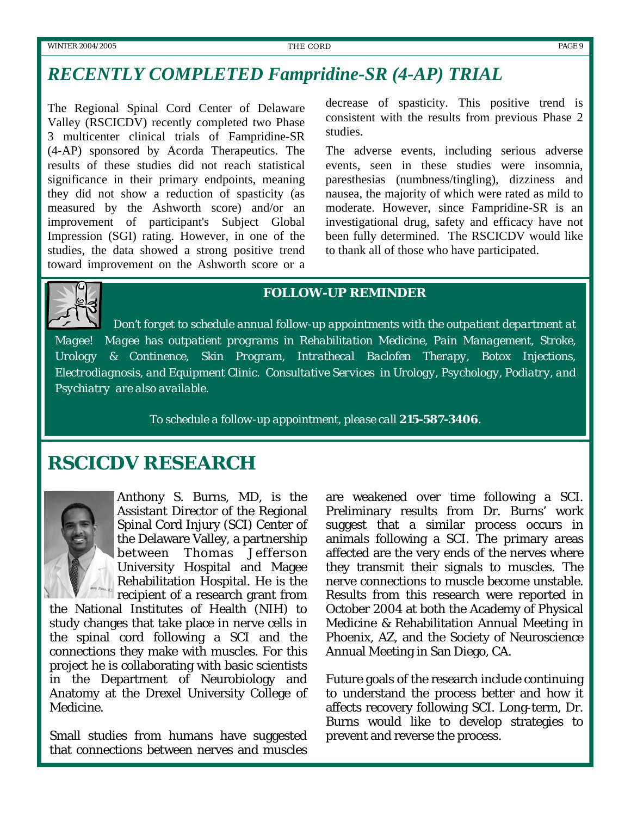#### *RECENTLY COMPLETED Fampridine-SR (4-AP) TRIAL*

The Regional Spinal Cord Center of Delaware Valley (RSCICDV) recently completed two Phase 3 multicenter clinical trials of Fampridine-SR (4-AP) sponsored by Acorda Therapeutics. The results of these studies did not reach statistical significance in their primary endpoints, meaning they did not show a reduction of spasticity (as measured by the Ashworth score) and/or an improvement of participant's Subject Global Impression (SGI) rating. However, in one of the studies, the data showed a strong positive trend toward improvement on the Ashworth score or a

decrease of spasticity. This positive trend is consistent with the results from previous Phase 2 studies.

The adverse events, including serious adverse events, seen in these studies were insomnia, paresthesias (numbness/tingling), dizziness and nausea, the majority of which were rated as mild to moderate. However, since Fampridine-SR is an investigational drug, safety and efficacy have not been fully determined. The RSCICDV would like to thank all of those who have participated.



#### *FOLLOW-UP REMINDER*

*Don't forget to schedule annual follow-up appointments with the outpatient department at Magee! Magee has outpatient programs in Rehabilitation Medicine, Pain Management, Stroke, Urology & Continence, Skin Program, Intrathecal Baclofen Therapy, Botox Injections, Electrodiagnosis, and Equipment Clinic. Consultative Services in Urology, Psychology, Podiatry, and Psychiatry are also available.* 

*To schedule a follow-up appointment, please call 215-587-3406.* 

#### *RSCICDV RESEARCH*



Anthony S. Burns, MD, is the Assistant Director of the Regional Spinal Cord Injury (SCI) Center of the Delaware Valley, a partnership between Thomas Jefferson University Hospital and Magee Rehabilitation Hospital. He is the recipient of a research grant from

the National Institutes of Health (NIH) to study changes that take place in nerve cells in the spinal cord following a SCI and the connections they make with muscles. For this project he is collaborating with basic scientists in the Department of Neurobiology and Anatomy at the Drexel University College of Medicine.

Small studies from humans have suggested that connections between nerves and muscles

are weakened over time following a SCI. Preliminary results from Dr. Burns' work suggest that a similar process occurs in animals following a SCI. The primary areas affected are the very ends of the nerves where they transmit their signals to muscles. The nerve connections to muscle become unstable. Results from this research were reported in October 2004 at both the Academy of Physical Medicine & Rehabilitation Annual Meeting in Phoenix, AZ, and the Society of Neuroscience Annual Meeting in San Diego, CA.

Future goals of the research include continuing to understand the process better and how it affects recovery following SCI. Long-term, Dr. Burns would like to develop strategies to prevent and reverse the process.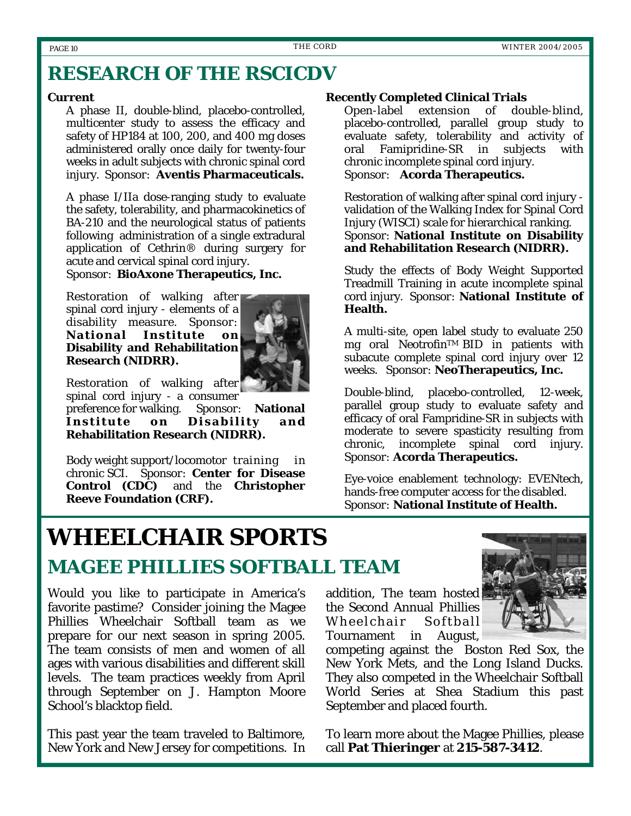#### *RESEARCH OF THE RSCICDV*

#### **Current**

 A phase II, double-blind, placebo-controlled, multicenter study to assess the efficacy and safety of HP184 at 100, 200, and 400 mg doses administered orally once daily for twenty-four weeks in adult subjects with chronic spinal cord injury. *Sponsor:* **Aventis Pharmaceuticals.**

 A phase I/IIa dose-ranging study to evaluate the safety, tolerability, and pharmacokinetics of BA-210 and the neurological status of patients following administration of a single extradural application of Cethrin® during surgery for acute and cervical spinal cord injury.

*Sponsor*: **BioAxone Therapeutics, Inc.** 

 Restoration of walking after spinal cord injury - elements of a disability measure. *Sponsor:*  **National Institute on Disability and Rehabilitation Research (NIDRR).**



Restoration of walking after

 spinal cord injury - a consumer preference for walking. *Sponsor:* **National Institute on Disability and Rehabilitation Research (NIDRR).** 

Body weight support/locomotor training in chronic SCI. *Sponsor*: **Center for Disease Control (CDC)** and the **Christopher Reeve Foundation (CRF).** 

#### **Recently Completed Clinical Trials**

 Open-label extension of double-blind, placebo-controlled, parallel group study to evaluate safety, tolerability and activity of oral Famipridine-SR in subjects with chronic incomplete spinal cord injury. *Sponsor*: **Acorda Therapeutics.**

 Restoration of walking after spinal cord injury validation of the Walking Index for Spinal Cord Injury (WISCI) scale for hierarchical ranking. *Sponsor:* **National Institute on Disability and Rehabilitation Research (NIDRR).**

 Study the effects of Body Weight Supported Treadmill Training in acute incomplete spinal cord injury. *Sponsor:* **National Institute of Health.**

 A multi-site, open label study to evaluate 250 mg oral Neotrofin<sup>™</sup> BID in patients with subacute complete spinal cord injury over 12 weeks. *Sponsor:* **NeoTherapeutics, Inc.**

 Double-blind, placebo-controlled, 12-week, parallel group study to evaluate safety and efficacy of oral Fampridine-SR in subjects with moderate to severe spasticity resulting from chronic, incomplete spinal cord injury. *Sponsor:* **Acorda Therapeutics.**

 Eye-voice enablement technology: EVENtech, hands-free computer access for the disabled. *Sponsor:* **National Institute of Health.**

# **WHEELCHAIR SPORTS**

# *MAGEE PHILLIES SOFTBALL TEAM*

Would you like to participate in America's favorite pastime? Consider joining the Magee Phillies Wheelchair Softball team as we prepare for our next season in spring 2005. The team consists of men and women of all ages with various disabilities and different skill levels. The team practices weekly from April through September on J. Hampton Moore School's blacktop field.

This past year the team traveled to Baltimore, New York and New Jersey for competitions. In addition, The team hosted the Second Annual Phillies Wheelchair Softball Tournament in August,



competing against the Boston Red Sox, the New York Mets, and the Long Island Ducks. They also competed in the Wheelchair Softball World Series at Shea Stadium this past September and placed fourth.

To learn more about the Magee Phillies, please call **Pat Thieringer** at **215-587-3412**.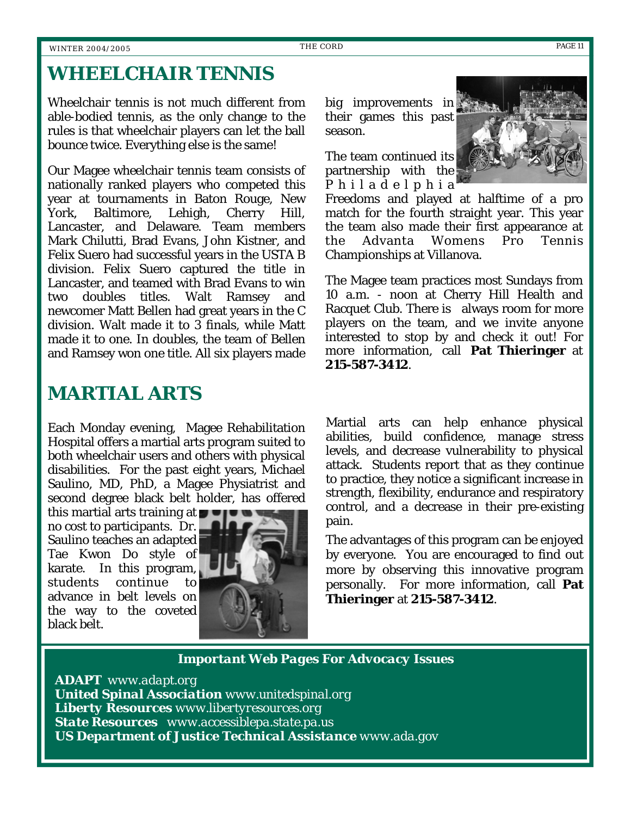### *WHEELCHAIR TENNIS*

Wheelchair tennis is not much different from able-bodied tennis, as the only change to the rules is that wheelchair players can let the ball bounce twice. Everything else is the same!

Our Magee wheelchair tennis team consists of nationally ranked players who competed this year at tournaments in Baton Rouge, New York, Baltimore, Lehigh, Cherry Hill, Lancaster, and Delaware. Team members Mark Chilutti, Brad Evans, John Kistner, and Felix Suero had successful years in the USTA B division. Felix Suero captured the title in Lancaster, and teamed with Brad Evans to win two doubles titles. Walt Ramsey and newcomer Matt Bellen had great years in the C division. Walt made it to 3 finals, while Matt made it to one. In doubles, the team of Bellen and Ramsey won one title. All six players made

*MARTIAL ARTS* 

Each Monday evening, Magee Rehabilitation Hospital offers a martial arts program suited to both wheelchair users and others with physical disabilities. For the past eight years, Michael Saulino, MD, PhD, a Magee Physiatrist and second degree black belt holder, has offered

this martial arts training at  $\blacksquare$ no cost to participants. Dr. Saulino teaches an adapted Tae Kwon Do style of karate. In this program, students continue to advance in belt levels on the way to the coveted black belt.



big improvements in their games this past season.

The team continued its partnership with the P h i l a d e l p h i a



Freedoms and played at halftime of a pro match for the fourth straight year. This year the team also made their first appearance at the Advanta Womens Pro Tennis Championships at Villanova.

The Magee team practices most Sundays from 10 a.m. - noon at Cherry Hill Health and Racquet Club. There is always room for more players on the team, and we invite anyone interested to stop by and check it out! For more information, call **Pat Thieringer** at **215-587-3412**.

Martial arts can help enhance physical abilities, build confidence, manage stress levels, and decrease vulnerability to physical attack. Students report that as they continue to practice, they notice a significant increase in strength, flexibility, endurance and respiratory control, and a decrease in their pre-existing pain.

The advantages of this program can be enjoyed by everyone. You are encouraged to find out more by observing this innovative program personally. For more information, call **Pat Thieringer** at **215-587-3412**.

*Important Web Pages For Advocacy Issues* 

*ADAPT www.adapt.org United Spinal Association www.unitedspinal.org Liberty Resources www.libertyresources.org State Resources www.accessiblepa.state.pa.us US Department of Justice Technical Assistance www.ada.gov*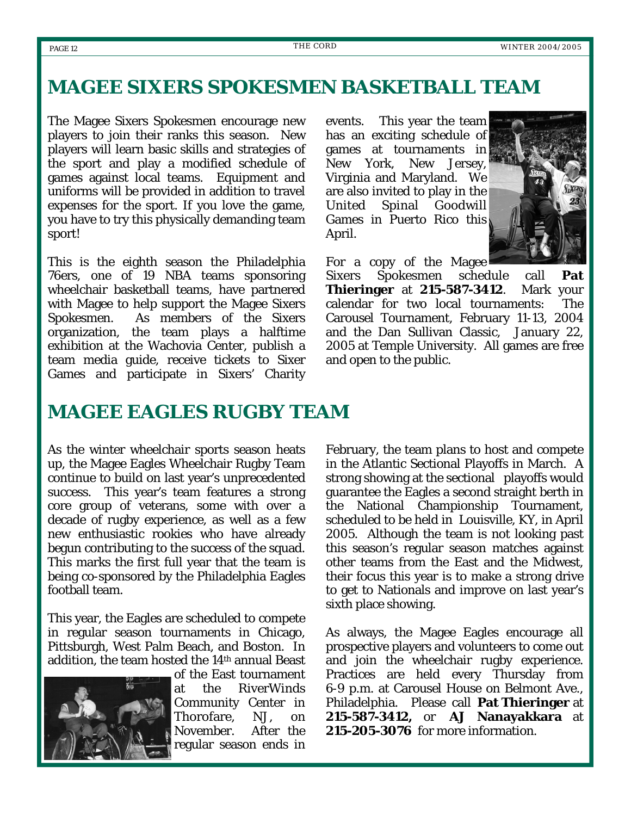### *MAGEE SIXERS SPOKESMEN BASKETBALL TEAM*

The Magee Sixers Spokesmen encourage new players to join their ranks this season. New players will learn basic skills and strategies of the sport and play a modified schedule of games against local teams. Equipment and uniforms will be provided in addition to travel expenses for the sport. If you love the game, you have to try this physically demanding team sport!

This is the eighth season the Philadelphia 76ers, one of 19 NBA teams sponsoring wheelchair basketball teams, have partnered with Magee to help support the Magee Sixers Spokesmen. As members of the Sixers organization, the team plays a halftime exhibition at the Wachovia Center, publish a team media guide, receive tickets to Sixer Games and participate in Sixers' Charity events. This year the team has an exciting schedule of games at tournaments in New York, New Jersey, Virginia and Maryland. We are also invited to play in the United Spinal Goodwill Games in Puerto Rico this April.



For a copy of the Magee

Sixers Spokesmen schedule call **Pat Thieringer** at **215-587-3412**. Mark your calendar for two local tournaments: The Carousel Tournament, February 11-13, 2004 and the Dan Sullivan Classic, January 22, 2005 at Temple University. All games are free and open to the public.

#### *MAGEE EAGLES RUGBY TEAM*

As the winter wheelchair sports season heats up, the Magee Eagles Wheelchair Rugby Team continue to build on last year's unprecedented success. This year's team features a strong core group of veterans, some with over a decade of rugby experience, as well as a few new enthusiastic rookies who have already begun contributing to the success of the squad. This marks the first full year that the team is being co-sponsored by the Philadelphia Eagles football team.

This year, the Eagles are scheduled to compete in regular season tournaments in Chicago, Pittsburgh, West Palm Beach, and Boston. In addition, the team hosted the 14<sup>th</sup> annual Beast



of the East tournament at the RiverWinds Community Center in Thorofare, NJ, on November. After the regular season ends in

February, the team plans to host and compete in the Atlantic Sectional Playoffs in March. A strong showing at the sectional playoffs would guarantee the Eagles a second straight berth in the National Championship Tournament, scheduled to be held in Louisville, KY, in April 2005. Although the team is not looking past this season's regular season matches against other teams from the East and the Midwest, their focus this year is to make a strong drive to get to Nationals and improve on last year's sixth place showing.

As always, the Magee Eagles encourage all prospective players and volunteers to come out and join the wheelchair rugby experience. Practices are held every Thursday from 6-9 p.m. at Carousel House on Belmont Ave., Philadelphia. Please call **Pat Thieringer** at **215-587-3412,** or **AJ Nanayakkara** at **215-205-3076** for more information.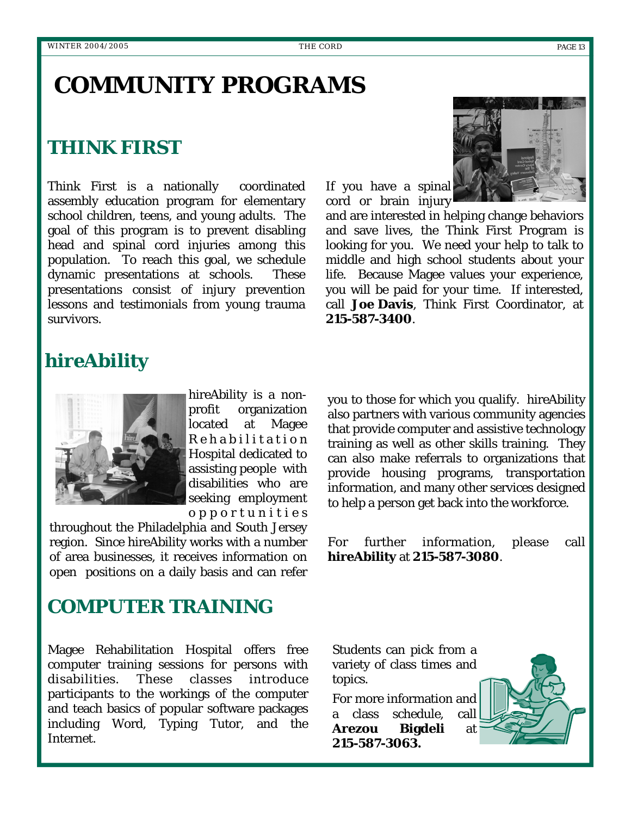# **COMMUNITY PROGRAMS**

### *THINK FIRST*

Think First is a nationally coordinated assembly education program for elementary school children, teens, and young adults. The goal of this program is to prevent disabling head and spinal cord injuries among this population. To reach this goal, we schedule dynamic presentations at schools. These presentations consist of injury prevention lessons and testimonials from young trauma survivors.



and are interested in helping change behaviors and save lives, the Think First Program is looking for you. We need your help to talk to middle and high school students about your life. Because Magee values your experience, you will be paid for your time. If interested, call **Joe Davis**, Think First Coordinator, at **215-587-3400**.

### *hireAbility*



hireAbility is a nonprofit organization located at Magee R e h a b i l i t a t i o n Hospital dedicated to assisting people with disabilities who are seeking employment o p p o r t u n i t i e s

throughout the Philadelphia and South Jersey region. Since hireAbility works with a number of area businesses, it receives information on open positions on a daily basis and can refer

you to those for which you qualify. hireAbility also partners with various community agencies that provide computer and assistive technology training as well as other skills training. They can also make referrals to organizations that provide housing programs, transportation information, and many other services designed to help a person get back into the workforce.

For further information, please call **hireAbility** at **215-587-3080**.

#### *COMPUTER TRAINING*

Magee Rehabilitation Hospital offers free computer training sessions for persons with disabilities. These classes introduce participants to the workings of the computer and teach basics of popular software packages including Word, Typing Tutor, and the Internet.

Students can pick from a variety of class times and topics.

For more information and a class schedule, call **Arezou Bigdeli** at **215-587-3063.**